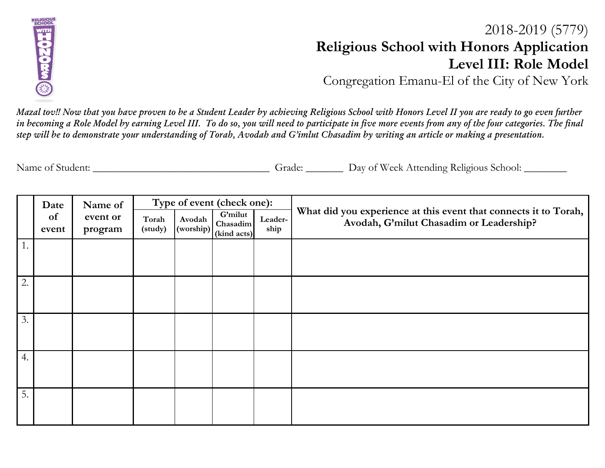

## 2018-2019 (5779) **Religious School with Honors Application Level III: Role Model**

Congregation Emanu-El of the City of New York

*Mazal tov!! Now that you have proven to be a Student Leader by achieving Religious School with Honors Level II you are ready to go even further in becoming a Role Model by earning Level III. To do so, you will need to participate in five more events from any of the four categories. The final step will be to demonstrate your understanding of Torah, Avodah and G'imlut Chasadim by writing an article or making a presentation.* 

| Name of Student: | Grade. | Day of Week Attending Religious School: |
|------------------|--------|-----------------------------------------|
|                  |        |                                         |

|    | Name of<br>Date |          | Type of event (check one): |        |                                                         |                 |                                                                                                             |
|----|-----------------|----------|----------------------------|--------|---------------------------------------------------------|-----------------|-------------------------------------------------------------------------------------------------------------|
|    | of              | event or | Torah                      | Avodah | <b>G'milut</b><br>Chasadim                              | Leader-<br>ship | What did you experience at this event that connects it to Torah,<br>Avodah, G'milut Chasadim or Leadership? |
|    | event           | program  | (study)                    |        | $\frac{1}{\frac{(\text{working})}{(\text{kind acts})}}$ |                 |                                                                                                             |
| 1. |                 |          |                            |        |                                                         |                 |                                                                                                             |
|    |                 |          |                            |        |                                                         |                 |                                                                                                             |
|    |                 |          |                            |        |                                                         |                 |                                                                                                             |
| 2. |                 |          |                            |        |                                                         |                 |                                                                                                             |
|    |                 |          |                            |        |                                                         |                 |                                                                                                             |
|    |                 |          |                            |        |                                                         |                 |                                                                                                             |
| 3. |                 |          |                            |        |                                                         |                 |                                                                                                             |
|    |                 |          |                            |        |                                                         |                 |                                                                                                             |
|    |                 |          |                            |        |                                                         |                 |                                                                                                             |
| 4. |                 |          |                            |        |                                                         |                 |                                                                                                             |
|    |                 |          |                            |        |                                                         |                 |                                                                                                             |
|    |                 |          |                            |        |                                                         |                 |                                                                                                             |
| 5. |                 |          |                            |        |                                                         |                 |                                                                                                             |
|    |                 |          |                            |        |                                                         |                 |                                                                                                             |
|    |                 |          |                            |        |                                                         |                 |                                                                                                             |